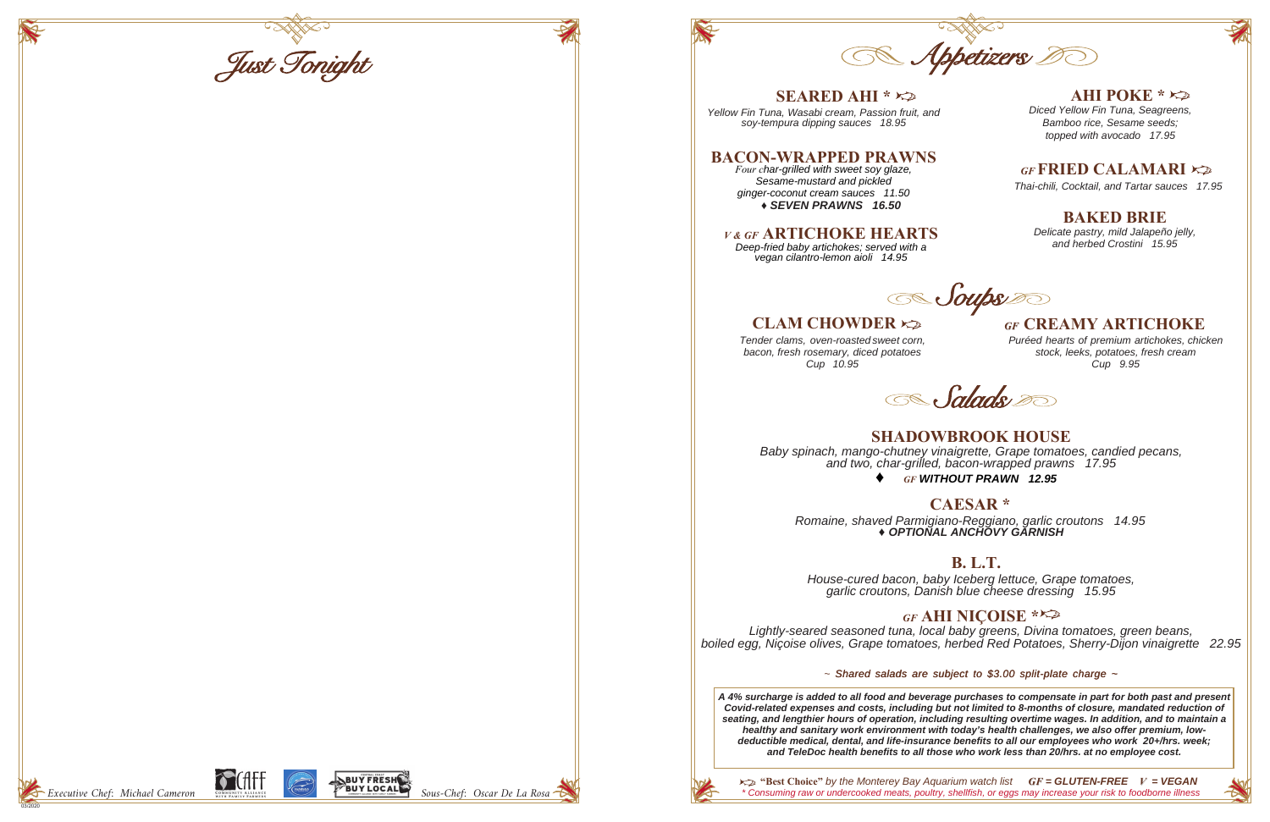## *GF* **FRIED CALAMARI**

*Thai-chili, Cocktail, and Tartar sauces 17.95*

03/2020



*\* Consuming raw or undercooked meats, poultry, shellfish, or eggs may increase your risk to foodborne illness GF = GLUTEN-FREE V = VEGAN* **"Best Choice"** *by the Monterey Bay Aquarium watch list*

*Tender clams, oven-roasted sweet corn, bacon, fresh rosemary, diced potatoes Cup 10.95*



## *GF* **CREAMY ARTICHOKE**

*Puréed hearts of premium artichokes, chicken stock, leeks, potatoes, fresh cream Cup 9.95*

**Salads** 

### **AHI POKE \***

## **BAKED BRIE**

*Delicate pastry, mild Jalapeño jelly, and herbed Crostini 15.95*

*Soups* 

| $SEARED AHI * \approx$<br>Yellow Fin Tuna, Wasabi cream, Passion fruit, anc<br>soy-tempura dipping sauces 18.95                                                   |
|-------------------------------------------------------------------------------------------------------------------------------------------------------------------|
| <b>BACON-WRAPPED PRAWNS</b><br>Four char-grilled with sweet soy glaze,<br>Sesame-mustard and pickled<br>ginger-coconut cream sauces 11.50<br>◆ SEVEN PRAWNS 16.50 |
| <b>V&amp;GF ARTICHOKE HEARTS</b><br>Deep-fried baby artichokes; served with a<br>vegan cilantro-lemon aioli 14.95                                                 |
| <b>CLAM CHOWDER</b> $\approx$                                                                                                                                     |



*Diced Yellow Fin Tuna, Seagreens, Bamboo rice, Sesame seeds; topped with avocado 17.95*

*Yellow Fin Tuna, Wasabi cream, Passion fruit, and* 

## **CAESAR \***

*Romaine, shaved Parmigiano-Reggiano, garlic croutons 14.95 ♦ OPTIONAL ANCHOVY GARNISH*

### **B. L.T.**

*House-cured bacon, baby Iceberg lettuce, Grape tomatoes, garlic croutons, Danish blue cheese dressing 15.95*

*GF* **AHI NIÇOISE \*** *Lightly-seared seasoned tuna, local baby greens, Divina tomatoes, green beans, boiled egg, Niçoise olives, Grape tomatoes, herbed Red Potatoes, Sherry-Dijon vinaigrette 22.95*

### *~ Shared salads are subject to \$3.00 split-plate charge ~*

*♦ GF WITHOUT PRAWN 12.95* **SHADOWBROOK HOUSE** *Baby spinach, mango-chutney vinaigrette, Grape tomatoes, candied pecans, and two, char-grilled, bacon-wrapped prawns 17.95*

*A 4% surcharge is added to all food and beverage purchases to compensate in part for both past and present Covid-related expenses and costs, including but not limited to 8-months of closure, mandated reduction of seating, and lengthier hours of operation, including resulting overtime wages. In addition, and to maintain a healthy and sanitary work environment with today's health challenges, we also offer premium, lowdeductible medical, dental, and life-insurance benefits to all our employees who work 20+/hrs. week; and TeleDoc health benefits to all those who work less than 20/hrs. at no employee cost.*



Just Tonight